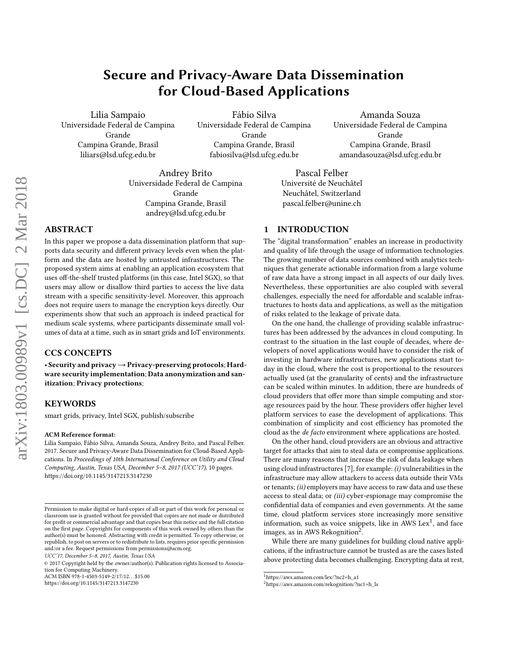# Secure and Privacy-Aware Data Dissemination for Cloud-Based Applications

Lilia Sampaio Universidade Federal de Campina Grande Campina Grande, Brasil liliars@lsd.ufcg.edu.br

Fábio Silva Universidade Federal de Campina Grande Campina Grande, Brasil fabiosilva@lsd.ufcg.edu.br

Amanda Souza Universidade Federal de Campina Grande Campina Grande, Brasil amandasouza@lsd.ufcg.edu.br

Andrey Brito Universidade Federal de Campina Grande Campina Grande, Brasil andrey@lsd.ufcg.edu.br

# ABSTRACT

In this paper we propose a data dissemination platform that supports data security and different privacy levels even when the platform and the data are hosted by untrusted infrastructures. The proposed system aims at enabling an application ecosystem that uses off-the-shelf trusted platforms (in this case, Intel SGX), so that users may allow or disallow third parties to access the live data stream with a specific sensitivity-level. Moreover, this approach does not require users to manage the encryption keys directly. Our experiments show that such an approach is indeed practical for medium scale systems, where participants disseminate small volumes of data at a time, such as in smart grids and IoT environments.

# CCS CONCEPTS

• Security and privacy→Privacy-preserving protocols; Hardware security implementation; Data anonymization and sanitization; Privacy protections;

# KEYWORDS

smart grids, privacy, Intel SGX, publish/subscribe

#### ACM Reference format:

Lilia Sampaio, Fábio Silva, Amanda Souza, Andrey Brito, and Pascal Felber. 2017. Secure and Privacy-Aware Data Dissemination for Cloud-Based Applications. In Proceedings of 10th International Conference on Utility and Cloud Computing, Austin, Texas USA, December 5–8, 2017 (UCC'17), [10](#page-9-0) pages. <https://doi.org/10.1145/3147213.3147230>

UCC'17, December 5–8, 2017, Austin, Texas USA

ACM ISBN 978-1-4503-5149-2/17/12. . . \$15.00

<https://doi.org/10.1145/3147213.3147230>

### 1 INTRODUCTION

Pascal Felber Université de Neuchâtel Neuchâtel, Switzerland pascal.felber@unine.ch

The "digital transformation" enables an increase in productivity and quality of life through the usage of information technologies. The growing number of data sources combined with analytics techniques that generate actionable information from a large volume of raw data have a strong impact in all aspects of our daily lives. Nevertheless, these opportunities are also coupled with several challenges, especially the need for affordable and scalable infrastructures to hosts data and applications, as well as the mitigation of risks related to the leakage of private data.

On the one hand, the challenge of providing scalable infrastructures has been addressed by the advances in cloud computing. In contrast to the situation in the last couple of decades, where developers of novel applications would have to consider the risk of investing in hardware infrastructures, new applications start today in the cloud, where the cost is proportional to the resources actually used (at the granularity of cents) and the infrastructure can be scaled within minutes. In addition, there are hundreds of cloud providers that offer more than simple computing and storage resources paid by the hour. These providers offer higher level platform services to ease the development of applications. This combination of simplicity and cost efficiency has promoted the cloud as the de facto environment where applications are hosted.

On the other hand, cloud providers are an obvious and attractive target for attacks that aim to steal data or compromise applications. There are many reasons that increase the risk of data leakage when using cloud infrastructures [\[7\]](#page-9-1), for example: (i) vulnerabilities in the infrastructure may allow attackers to access data outside their VMs or tenants; (ii) employers may have access to raw data and use these access to steal data; or (iii) cyber-espionage may compromise the confidential data of companies and even governments. At the same time, cloud platform services store increasingly more sensitive information, such as voice snippets, like in AWS Lex<sup>[1](#page-0-0)</sup>, and face images, as in AWS Rekognition $^{2}$  $^{2}$  $^{2}$ .

While there are many guidelines for building cloud native applications, if the infrastructure cannot be trusted as are the cases listed above protecting data becomes challenging. Encrypting data at rest,

Permission to make digital or hard copies of all or part of this work for personal or classroom use is granted without fee provided that copies are not made or distributed for profit or commercial advantage and that copies bear this notice and the full citation on the first page. Copyrights for components of this work owned by others than the author(s) must be honored. Abstracting with credit is permitted. To copy otherwise, or republish, to post on servers or to redistribute to lists, requires prior specific permission and/or a fee. Request permissions from permissions@acm.org.

<sup>©</sup> 2017 Copyright held by the owner/author(s). Publication rights licensed to Association for Computing Machinery.

<span id="page-0-0"></span><sup>1</sup>[https://aws.amazon.com/lex/?nc2=h\\_a1](https://aws.amazon.com/lex/?nc2=h_a1)

<span id="page-0-1"></span><sup>2</sup>[https://aws.amazon.com/rekognition/?nc1=h\\_ls](https://aws.amazon.com/rekognition/?nc1=h_ls)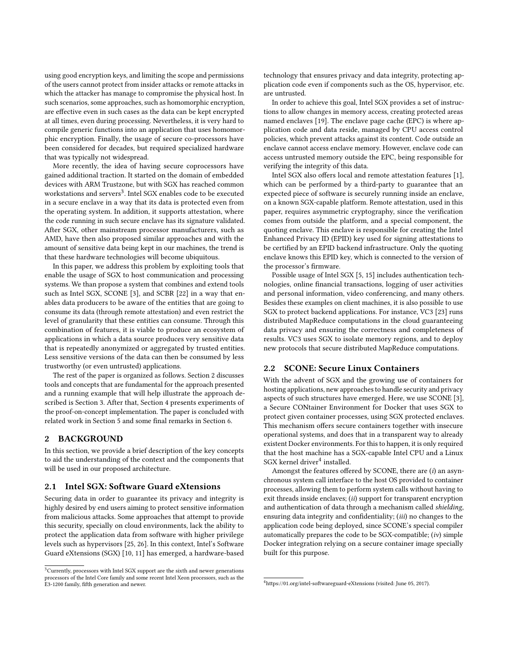using good encryption keys, and limiting the scope and permissions of the users cannot protect from insider attacks or remote attacks in which the attacker has manage to compromise the physical host. In such scenarios, some approaches, such as homomorphic encryption, are effective even in such cases as the data can be kept encrypted at all times, even during processing. Nevertheless, it is very hard to compile generic functions into an application that uses homomorphic encryption. Finally, the usage of secure co-processors have been considered for decades, but required specialized hardware that was typically not widespread.

More recently, the idea of having secure coprocessors have gained additional traction. It started on the domain of embedded devices with ARM Trustzone, but with SGX has reached common workstations and servers<sup>[3](#page-1-0)</sup>. Intel SGX enables code to be executed in a secure enclave in a way that its data is protected even from the operating system. In addition, it supports attestation, where the code running in such secure enclave has its signature validated. After SGX, other mainstream processor manufacturers, such as AMD, have then also proposed similar approaches and with the amount of sensitive data being kept in our machines, the trend is that these hardware technologies will become ubiquitous.

In this paper, we address this problem by exploiting tools that enable the usage of SGX to host communication and processing systems. We than propose a system that combines and extend tools such as Intel SGX, SCONE [\[3\]](#page-9-2), and SCBR [\[22\]](#page-9-3) in a way that enables data producers to be aware of the entities that are going to consume its data (through remote attestation) and even restrict the level of granularity that these entities can consume. Through this combination of features, it is viable to produce an ecosystem of applications in which a data source produces very sensitive data that is repeatedly anonymized or aggregated by trusted entities. Less sensitive versions of the data can then be consumed by less trustworthy (or even untrusted) applications.

The rest of the paper is organized as follows. Section [2](#page-1-1) discusses tools and concepts that are fundamental for the approach presented and a running example that will help illustrate the approach described is Section [3.](#page-3-0) After that, Section [4](#page-5-0) presents experiments of the proof-on-concept implementation. The paper is concluded with related work in Section [5](#page-7-0) and some final remarks in Section [6.](#page-8-0)

# <span id="page-1-1"></span>2 BACKGROUND

In this section, we provide a brief description of the key concepts to aid the understanding of the context and the components that will be used in our proposed architecture.

### <span id="page-1-4"></span>2.1 Intel SGX: Software Guard eXtensions

Securing data in order to guarantee its privacy and integrity is highly desired by end users aiming to protect sensitive information from malicious attacks. Some approaches that attempt to provide this security, specially on cloud environments, lack the ability to protect the application data from software with higher privilege levels such as hypervisors [\[25,](#page-9-4) [26\]](#page-9-5). In this context, Intel's Software Guard eXtensions (SGX) [\[10,](#page-9-6) [11\]](#page-9-7) has emerged, a hardware-based technology that ensures privacy and data integrity, protecting application code even if components such as the OS, hypervisor, etc. are untrusted.

In order to achieve this goal, Intel SGX provides a set of instructions to allow changes in memory access, creating protected areas named enclaves [\[19\]](#page-9-8). The enclave page cache (EPC) is where application code and data reside, managed by CPU access control policies, which prevent attacks against its content. Code outside an enclave cannot access enclave memory. However, enclave code can access untrusted memory outside the EPC, being responsible for verifying the integrity of this data.

Intel SGX also offers local and remote attestation features [\[1\]](#page-8-1), which can be performed by a third-party to guarantee that an expected piece of software is securely running inside an enclave, on a known SGX-capable platform. Remote attestation, used in this paper, requires asymmetric cryptography, since the verification comes from outside the platform, and a special component, the quoting enclave. This enclave is responsible for creating the Intel Enhanced Privacy ID (EPID) key used for signing attestations to be certified by an EPID backend infrastructure. Only the quoting enclave knows this EPID key, which is connected to the version of the processor's firmware.

Possible usage of Intel SGX [\[5,](#page-9-9) [15\]](#page-9-10) includes authentication technologies, online financial transactions, logging of user activities and personal information, video conferencing, and many others. Besides these examples on client machines, it is also possible to use SGX to protect backend applications. For instance, VC3 [\[23\]](#page-9-11) runs distributed MapReduce computations in the cloud guaranteeing data privacy and ensuring the correctness and completeness of results. VC3 uses SGX to isolate memory regions, and to deploy new protocols that secure distributed MapReduce computations.

# <span id="page-1-3"></span>2.2 SCONE: Secure Linux Containers

With the advent of SGX and the growing use of containers for hosting applications, new approaches to handle security and privacy aspects of such structures have emerged. Here, we use SCONE [\[3\]](#page-9-2), a Secure CONtainer Environment for Docker that uses SGX to protect given container processes, using SGX protected enclaves. This mechanism offers secure containers together with insecure operational systems, and does that in a transparent way to already existent Docker environments. For this to happen, it is only required that the host machine has a SGX-capable Intel CPU and a Linux  $SGX$  kernel driver $^4$  $^4$  installed.

Amongst the features offered by SCONE, there are (i) an asynchronous system call interface to the host OS provided to container processes, allowing them to perform system calls without having to exit threads inside enclaves; (ii) support for transparent encryption and authentication of data through a mechanism called shielding, ensuring data integrity and confidentiality; (iii) no changes to the application code being deployed, since SCONE's special compiler automatically prepares the code to be SGX-compatible;  $(iv)$  simple Docker integration relying on a secure container image specially built for this purpose.

<span id="page-1-0"></span> $^3\rm{Currently, processors}$  with Intel SGX support are the sixth and newer generations processors of the Intel Core family and some recent Intel Xeon processors, such as the E3-1200 family, fifth generation and newer.

<span id="page-1-2"></span> $^4$ https://01.org/intel-softwareguard-eXtensions (visited: June 05, 2017).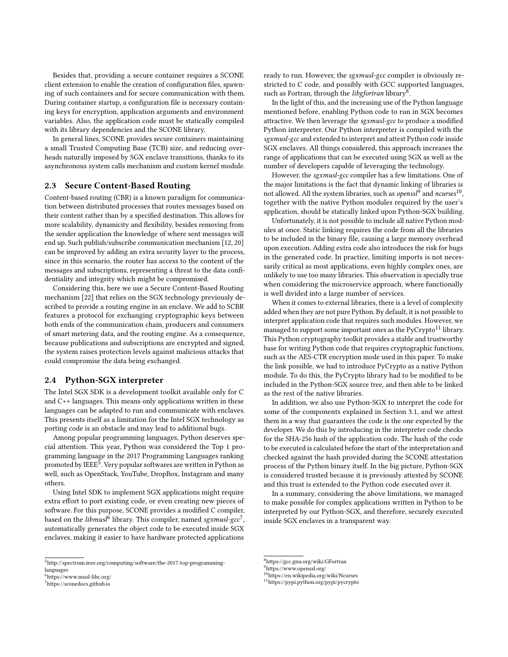Besides that, providing a secure container requires a SCONE client extension to enable the creation of configuration files, spawning of such containers and for secure communication with them. During container startup, a configuration file is necessary containing keys for encryption, application arguments and environment variables. Also, the application code must be statically compiled with its library dependencies and the SCONE library.

In general lines, SCONE provides secure containers maintaining a small Trusted Computing Base (TCB) size, and reducing overheads naturally imposed by SGX enclave transitions, thanks to its asynchronous system calls mechanism and custom kernel module.

# <span id="page-2-8"></span>2.3 Secure Content-Based Routing

Content-based routing (CBR) is a known paradigm for communication between distributed processes that routes messages based on their content rather than by a specified destination. This allows for more scalability, dynamicity and flexibility, besides removing from the sender application the knowledge of where sent messages will end up. Such publish/subscribe communication mechanism [\[12,](#page-9-12) [20\]](#page-9-13) can be improved by adding an extra security layer to the process, since in this scenario, the router has access to the content of the messages and subscriptions, representing a threat to the data confidentiality and integrity which might be compromised.

Considering this, here we use a Secure Content-Based Routing mechanism [\[22\]](#page-9-3) that relies on the SGX technology previously described to provide a routing engine in an enclave. We add to SCBR features a protocol for exchanging cryptographic keys between both ends of the communication chain, producers and consumers of smart metering data, and the routing engine. As a consequence, because publications and subscriptions are encrypted and signed, the system raises protection levels against malicious attacks that could compromise the data being exchanged.

#### <span id="page-2-7"></span>2.4 Python-SGX interpreter

The Intel SGX SDK is a development toolkit available only for C and C++ languages. This means only applications written in these languages can be adapted to run and communicate with enclaves. This presents itself as a limitation for the Intel SGX technology as porting code is an obstacle and may lead to additional bugs.

Among popular programming languages, Python deserves special attention. This year, Python was considered the Top 1 programming language in the 2017 Programming Languages ranking promoted by IEEE<sup>[5](#page-2-0)</sup>. Very popular softwares are written in Python as well, such as OpenStack, YouTube, DropBox, Instagram and many others.

Using Intel SDK to implement SGX applications might require extra effort to port existing code, or even creating new pieces of software. For this purpose, SCONE provides a modified C compiler, based on the *libmusl*<sup>[6](#page-2-1)</sup> library. This compiler, named sgxmusl-gcc<sup>[7](#page-2-2)</sup>, automatically generates the object code to be executed inside SGX enclaves, making it easier to have hardware protected applications

ready to run. However, the sgxmusl-gcc compiler is obviously restricted to C code, and possibly with GCC supported languages, such as Fortran, through the *libgfortran* library<sup>[8](#page-2-3)</sup>.

In the light of this, and the increasing use of the Python language mentioned before, enabling Python code to run in SGX becomes attractive. We then leverage the sgxmusl-gcc to produce a modified Python interpreter. Our Python interpreter is compiled with the sgxmusl-gcc and extended to interpret and attest Python code inside SGX enclaves. All things considered, this approach increases the range of applications that can be executed using SGX as well as the number of developers capable of leveraging the technology.

However, the sgxmusl-gcc compiler has a few limitations. One of the major limitations is the fact that dynamic linking of libraries is not allowed. All the system libraries, such as  $\it{openssl}^9$  $\it{openssl}^9$  and  $\it{ncurses}^{10},$  $\it{ncurses}^{10},$  $\it{ncurses}^{10},$ together with the native Python modules required by the user's application, should be statically linked upon Python-SGX building.

Unfortunately, it is not possible to include all native Python modules at once. Static linking requires the code from all the libraries to be included in the binary file, causing a large memory overhead upon execution. Adding extra code also introduces the risk for bugs in the generated code. In practice, limiting imports is not necessarily critical as most applications, even highly complex ones, are unlikely to use too many libraries. This observation is specially true when considering the microservice approach, where functionally is well divided into a large number of services.

When it comes to external libraries, there is a level of complexity added when they are not pure Python. By default, it is not possible to interpret application code that requires such modules. However, we managed to support some important ones as the  $PyCrypto<sup>11</sup>$  $PyCrypto<sup>11</sup>$  $PyCrypto<sup>11</sup>$  library. This Python cryptography toolkit provides a stable and trustworthy base for writing Python code that requires cryptographic functions, such as the AES-CTR encryption mode used in this paper. To make the link possible, we had to introduce PyCrypto as a native Python module. To do this, the PyCrypto library had to be modified to be included in the Python-SGX source tree, and then able to be linked as the rest of the native libraries.

In addition, we also use Python-SGX to interpret the code for some of the components explained in Section [3.1,](#page-3-1) and we attest them in a way that guarantees the code is the one expected by the developer. We do this by introducing in the interpreter code checks for the SHA-256 hash of the application code. The hash of the code to be executed is calculated before the start of the interpretation and checked against the hash provided during the SCONE attestation process of the Python binary itself. In the big picture, Python-SGX is considered trusted because it is previously attested by SCONE and this trust is extended to the Python code executed over it.

In a summary, considering the above limitations, we managed to make possible for complex applications written in Python to be interpreted by our Python-SGX, and therefore, securely executed inside SGX enclaves in a transparent way.

<span id="page-2-0"></span> $^{5}$ http://spectrum.ieee.org/computing/software/the-2017-top-programminglanguages

<span id="page-2-2"></span><span id="page-2-1"></span><sup>6</sup>https://www.musl-libc.org/ <sup>7</sup>https://sconedocs.github.io

<span id="page-2-3"></span><sup>8</sup>https://gcc.gnu.org/wiki/GFortran

<span id="page-2-4"></span><sup>9</sup>https://www.openssl.org/

<span id="page-2-5"></span><sup>10</sup>https://en.wikipedia.org/wiki/Ncurses

<span id="page-2-6"></span><sup>11</sup>https://pypi.python.org/pypi/pycrypto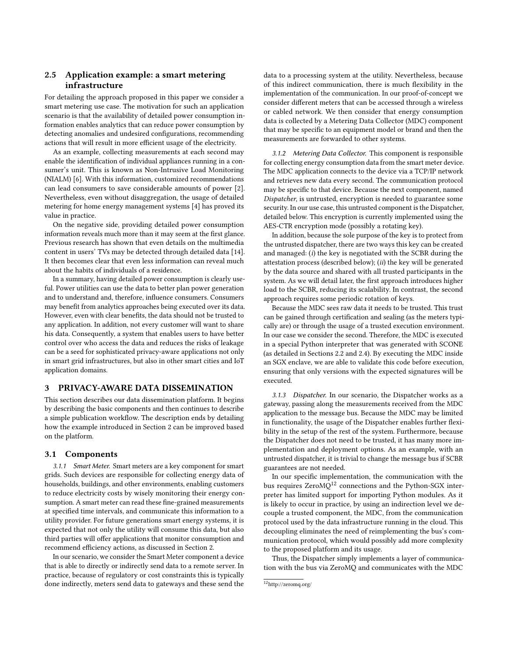# 2.5 Application example: a smart metering infrastructure

For detailing the approach proposed in this paper we consider a smart metering use case. The motivation for such an application scenario is that the availability of detailed power consumption information enables analytics that can reduce power consumption by detecting anomalies and undesired configurations, recommending actions that will result in more efficient usage of the electricity.

As an example, collecting measurements at each second may enable the identification of individual appliances running in a consumer's unit. This is known as Non-Intrusive Load Monitoring (NIALM) [\[6\]](#page-9-14). With this information, customized recommendations can lead consumers to save considerable amounts of power [\[2\]](#page-9-15). Nevertheless, even without disaggregation, the usage of detailed metering for home energy management systems [\[4\]](#page-9-16) has proved its value in practice.

On the negative side, providing detailed power consumption information reveals much more than it may seem at the first glance. Previous research has shown that even details on the multimedia content in users' TVs may be detected through detailed data [\[14\]](#page-9-17). It then becomes clear that even less information can reveal much about the habits of individuals of a residence.

In a summary, having detailed power consumption is clearly useful. Power utilities can use the data to better plan power generation and to understand and, therefore, influence consumers. Consumers may benefit from analytics approaches being executed over its data. However, even with clear benefits, the data should not be trusted to any application. In addition, not every customer will want to share his data. Consequently, a system that enables users to have better control over who access the data and reduces the risks of leakage can be a seed for sophisticated privacy-aware applications not only in smart grid infrastructures, but also in other smart cities and IoT application domains.

# <span id="page-3-0"></span>3 PRIVACY-AWARE DATA DISSEMINATION

This section describes our data dissemination platform. It begins by describing the basic components and then continues to describe a simple publication workflow. The description ends by detailing how the example introduced in Section [2](#page-1-1) can be improved based on the platform.

### <span id="page-3-1"></span>3.1 Components

3.1.1 Smart Meter. Smart meters are a key component for smart grids. Such devices are responsible for collecting energy data of households, buildings, and other environments, enabling customers to reduce electricity costs by wisely monitoring their energy consumption. A smart meter can read these fine-grained measurements at specified time intervals, and communicate this information to a utility provider. For future generations smart energy systems, it is expected that not only the utility will consume this data, but also third parties will offer applications that monitor consumption and recommend efficiency actions, as discussed in Section [2.](#page-1-1)

In our scenario, we consider the Smart Meter component a device that is able to directly or indirectly send data to a remote server. In practice, because of regulatory or cost constraints this is typically done indirectly, meters send data to gateways and these send the

data to a processing system at the utility. Nevertheless, because of this indirect communication, there is much flexibility in the implementation of the communication. In our proof-of-concept we consider different meters that can be accessed through a wireless or cabled network. We then consider that energy consumption data is collected by a Metering Data Collector (MDC) component that may be specific to an equipment model or brand and then the measurements are forwarded to other systems.

3.1.2 Metering Data Collector. This component is responsible for collecting energy consumption data from the smart meter device. The MDC application connects to the device via a TCP/IP network and retrieves new data every second. The communication protocol may be specific to that device. Because the next component, named Dispatcher, is untrusted, encryption is needed to guarantee some security. In our use case, this untrusted component is the Dispatcher, detailed below. This encryption is currently implemented using the AES-CTR encryption mode (possibly a rotating key).

In addition, because the sole purpose of the key is to protect from the untrusted dispatcher, there are two ways this key can be created and managed: (i) the key is negotiated with the SCBR during the attestation process (described below); (ii) the key will be generated by the data source and shared with all trusted participants in the system. As we will detail later, the first approach introduces higher load to the SCBR, reducing its scalability. In contrast, the second approach requires some periodic rotation of keys.

Because the MDC sees raw data it needs to be trusted. This trust can be gained through certification and sealing (as the meters typically are) or through the usage of a trusted execution environment. In our case we consider the second. Therefore, the MDC is executed in a special Python interpreter that was generated with SCONE (as detailed in Sections [2.2](#page-1-3) and [2.4\)](#page-2-7). By executing the MDC inside an SGX enclave, we are able to validate this code before execution, ensuring that only versions with the expected signatures will be executed.

3.1.3 Dispatcher. In our scenario, the Dispatcher works as a gateway, passing along the measurements received from the MDC application to the message bus. Because the MDC may be limited in functionality, the usage of the Dispatcher enables further flexibility in the setup of the rest of the system. Furthermore, because the Dispatcher does not need to be trusted, it has many more implementation and deployment options. As an example, with an untrusted dispatcher, it is trivial to change the message bus if SCBR guarantees are not needed.

In our specific implementation, the communication with the bus requires  $ZeroMQ^{12}$  $ZeroMQ^{12}$  $ZeroMQ^{12}$  connections and the Python-SGX interpreter has limited support for importing Python modules. As it is likely to occur in practice, by using an indirection level we decouple a trusted component, the MDC, from the communication protocol used by the data infrastructure running in the cloud. This decoupling eliminates the need of reimplementing the bus's communication protocol, which would possibly add more complexity to the proposed platform and its usage.

Thus, the Dispatcher simply implements a layer of communication with the bus via ZeroMQ and communicates with the MDC

<span id="page-3-2"></span> $^{12}{\rm http://zeromq.org/}$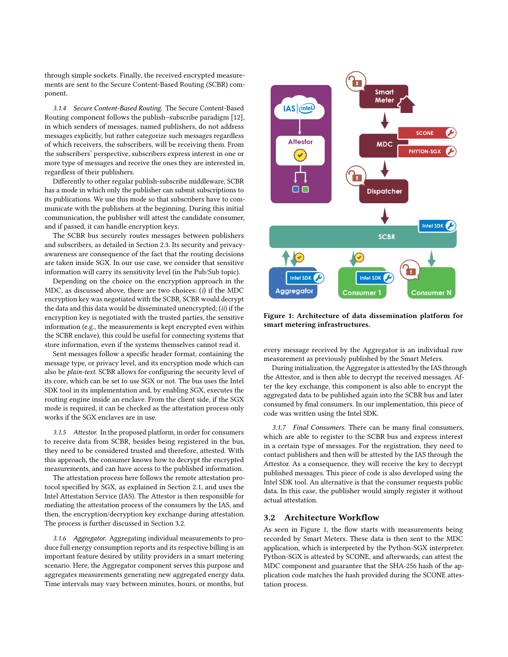through simple sockets. Finally, the received encrypted measurements are sent to the Secure Content-Based Routing (SCBR) component.

3.1.4 Secure Content-Based Routing. The Secure Content-Based Routing component follows the publish–subscribe paradigm [\[12\]](#page-9-12), in which senders of messages, named publishers, do not address messages explicitly, but rather categorize such messages regardless of which receivers, the subscribers, will be receiving them. From the subscribers' perspective, subscribers express interest in one or more type of messages and receive the ones they are interested in, regardless of their publishers.

Differently to other regular publish-subscribe middleware, SCBR has a mode in which only the publisher can submit subscriptions to its publications. We use this mode so that subscribers have to communicate with the publishers at the beginning. During this initial communication, the publisher will attest the candidate consumer, and if passed, it can handle encryption keys.

The SCBR bus securely routes messages between publishers and subscribers, as detailed in Section [2.3.](#page-2-8) Its security and privacyawareness are consequence of the fact that the routing decisions are taken inside SGX. In our use case, we consider that sensitive information will carry its sensitivity level (in the Pub/Sub topic).

Depending on the choice on the encryption approach in the MDC, as discussed above, there are two choices:  $(i)$  if the MDC encryption key was negotiated with the SCBR, SCBR would decrypt the data and this data would be disseminated unencrypted; (ii) if the encryption key is negotiated with the trusted parties, the sensitive information (e.g., the measurements is kept encrypted even within the SCBR enclave), this could be useful for connecting systems that store information, even if the systems themselves cannot read it.

Sent messages follow a specific header format, containing the message type, or privacy level, and its encryption mode which can also be plain-text. SCBR allows for configuring the security level of its core, which can be set to use SGX or not. The bus uses the Intel SDK tool in its implementation and, by enabling SGX, executes the routing engine inside an enclave. From the client side, if the SGX mode is required, it can be checked as the attestation process only works if the SGX enclaves are in use.

3.1.5 Attestor. In the proposed platform, in order for consumers to receive data from SCBR, besides being registered in the bus, they need to be considered trusted and therefore, attested. With this approach, the consumer knows how to decrypt the encrypted measurements, and can have access to the published information.

The attestation process here follows the remote attestation protocol specified by SGX, as explained in Section [2.1,](#page-1-4) and uses the Intel Attestation Service (IAS). The Attestor is then responsible for mediating the attestation process of the consumers by the IAS, and then, the encryption/decryption key exchange during attestation. The process is further discussed in Section [3.2.](#page-4-0)

3.1.6 Aggregator. Aggregating individual measurements to produce full energy consumption reports and its respective billing is an important feature desired by utility providers in a smart metering scenario. Here, the Aggregator component serves this purpose and aggregates measurements generating new aggregated energy data. Time intervals may vary between minutes, hours, or months, but

<span id="page-4-1"></span>

Figure 1: Architecture of data dissemination platform for smart metering infrastructures.

every message received by the Aggregator is an individual raw measurement as previously published by the Smart Meters.

During initialization, the Aggregator is attested by the IAS through the Attestor, and is then able to decrypt the received messages. After the key exchange, this component is also able to encrypt the aggregated data to be published again into the SCBR bus and later consumed by final consumers. In our implementation, this piece of code was written using the Intel SDK.

3.1.7 Final Consumers. There can be many final consumers, which are able to register to the SCBR bus and express interest in a certain type of messages. For the registration, they need to contact publishers and then will be attested by the IAS through the Attestor. As a consequence, they will receive the key to decrypt published messages. This piece of code is also developed using the Intel SDK tool. An alternative is that the consumer requests public data. In this case, the publisher would simply register it without actual attestation.

# <span id="page-4-0"></span>3.2 Architecture Workflow

As seen in Figure [1,](#page-4-1) the flow starts with measurements being recorded by Smart Meters. These data is then sent to the MDC application, which is interpreted by the Python-SGX interpreter. Python-SGX is attested by SCONE, and afterwards, can attest the MDC component and guarantee that the SHA-256 hash of the application code matches the hash provided during the SCONE attestation process.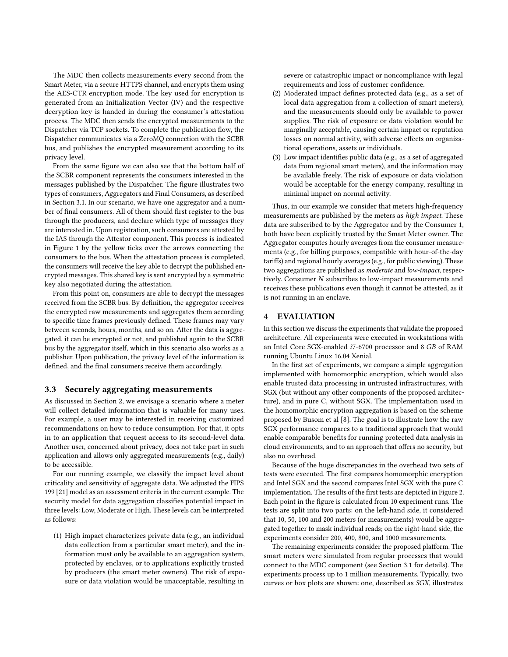The MDC then collects measurements every second from the Smart Meter, via a secure HTTPS channel, and encrypts them using the AES-CTR encryption mode. The key used for encryption is generated from an Initialization Vector (IV) and the respective decryption key is handed in during the consumer's attestation process. The MDC then sends the encrypted measurements to the Dispatcher via TCP sockets. To complete the publication flow, the Dispatcher communicates via a ZeroMQ connection with the SCBR bus, and publishes the encrypted measurement according to its privacy level.

From the same figure we can also see that the bottom half of the SCBR component represents the consumers interested in the messages published by the Dispatcher. The figure illustrates two types of consumers, Aggregators and Final Consumers, as described in Section [3.1.](#page-3-1) In our scenario, we have one aggregator and a number of final consumers. All of them should first register to the bus through the producers, and declare which type of messages they are interested in. Upon registration, such consumers are attested by the IAS through the Attestor component. This process is indicated in Figure [1](#page-4-1) by the yellow ticks over the arrows connecting the consumers to the bus. When the attestation process is completed, the consumers will receive the key able to decrypt the published encrypted messages. This shared key is sent encrypted by a symmetric key also negotiated during the attestation.

From this point on, consumers are able to decrypt the messages received from the SCBR bus. By definition, the aggregator receives the encrypted raw measurements and aggregates them according to specific time frames previously defined. These frames may vary between seconds, hours, months, and so on. After the data is aggregated, it can be encrypted or not, and published again to the SCBR bus by the aggregator itself, which in this scenario also works as a publisher. Upon publication, the privacy level of the information is defined, and the final consumers receive them accordingly.

# 3.3 Securely aggregating measurements

As discussed in Section [2,](#page-1-1) we envisage a scenario where a meter will collect detailed information that is valuable for many uses. For example, a user may be interested in receiving customized recommendations on how to reduce consumption. For that, it opts in to an application that request access to its second-level data. Another user, concerned about privacy, does not take part in such application and allows only aggregated measurements (e.g., daily) to be accessible.

For our running example, we classify the impact level about criticality and sensitivity of aggregate data. We adjusted the FIPS 199 [\[21\]](#page-9-18) model as an assessment criteria in the current example. The security model for data aggregation classifies potential impact in three levels: Low, Moderate or High. These levels can be interpreted as follows:

(1) High impact characterizes private data (e.g., an individual data collection from a particular smart meter), and the information must only be available to an aggregation system, protected by enclaves, or to applications explicitly trusted by producers (the smart meter owners). The risk of exposure or data violation would be unacceptable, resulting in

severe or catastrophic impact or noncompliance with legal requirements and loss of customer confidence.

- (2) Moderated impact defines protected data (e.g., as a set of local data aggregation from a collection of smart meters), and the measurements should only be available to power supplies. The risk of exposure or data violation would be marginally acceptable, causing certain impact or reputation losses on normal activity, with adverse effects on organizational operations, assets or individuals.
- (3) Low impact identifies public data (e.g., as a set of aggregated data from regional smart meters), and the information may be available freely. The risk of exposure or data violation would be acceptable for the energy company, resulting in minimal impact on normal activity.

Thus, in our example we consider that meters high-frequency measurements are published by the meters as high impact. These data are subscribed to by the Aggregator and by the Consumer 1, both have been explicitly trusted by the Smart Meter owner. The Aggregator computes hourly averages from the consumer measurements (e.g., for billing purposes, compatible with hour-of-the-day tariffs) and regional hourly averages (e.g., for public viewing). These two aggregations are published as moderate and low-impact, respectively. Consumer N subscribes to low-impact measurements and receives these publications even though it cannot be attested, as it is not running in an enclave.

# <span id="page-5-0"></span>4 EVALUATION

In this section we discuss the experiments that validate the proposed architecture. All experiments were executed in workstations with an Intel Core SGX-enabled i7-6700 processor and 8 GB of RAM running Ubuntu Linux 16.04 Xenial.

In the first set of experiments, we compare a simple aggregation implemented with homomorphic encryption, which would also enable trusted data processing in untrusted infrastructures, with SGX (but without any other components of the proposed architecture), and in pure C, without SGX. The implementation used in the homomorphic encryption aggregation is based on the scheme proposed by Busom et al [\[8\]](#page-9-19). The goal is to illustrate how the raw SGX performance compares to a traditional approach that would enable comparable benefits for running protected data analysis in cloud environments, and to an approach that offers no security, but also no overhead.

Because of the huge discrepancies in the overhead two sets of tests were executed. The first compares homomorphic encryption and Intel SGX and the second compares Intel SGX with the pure C implementation. The results of the first tests are depicted in Figure [2.](#page-6-0) Each point in the figure is calculated from 10 experiment runs. The tests are split into two parts: on the left-hand side, it considered that 10, 50, 100 and 200 meters (or measurements) would be aggregated together to mask individual reads; on the right-hand side, the experiments consider 200, 400, 800, and 1000 measurements.

The remaining experiments consider the proposed platform. The smart meters were simulated from regular processes that would connect to the MDC component (see Section [3.1](#page-3-1) for details). The experiments process up to 1 million measurements. Typically, two curves or box plots are shown: one, described as SGX, illustrates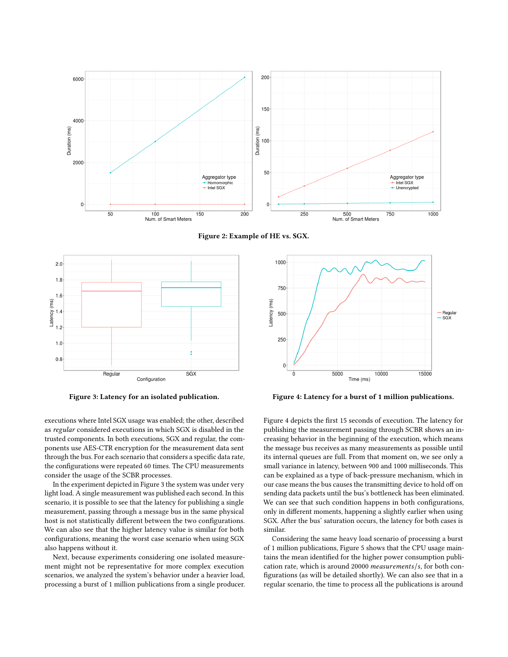<span id="page-6-0"></span>

Figure 2: Example of HE vs. SGX.

<span id="page-6-1"></span>

Figure 3: Latency for an isolated publication.

executions where Intel SGX usage was enabled; the other, described as regular considered executions in which SGX is disabled in the trusted components. In both executions, SGX and regular, the components use AES-CTR encryption for the measurement data sent through the bus. For each scenario that considers a specific data rate, the configurations were repeated 60 times. The CPU measurements consider the usage of the SCBR processes.

In the experiment depicted in Figure [3](#page-6-1) the system was under very light load. A single measurement was published each second. In this scenario, it is possible to see that the latency for publishing a single measurement, passing through a message bus in the same physical host is not statistically different between the two configurations. We can also see that the higher latency value is similar for both configurations, meaning the worst case scenario when using SGX also happens without it.

Next, because experiments considering one isolated measurement might not be representative for more complex execution scenarios, we analyzed the system's behavior under a heavier load, processing a burst of 1 million publications from a single producer.

<span id="page-6-2"></span>

Figure 4: Latency for a burst of 1 million publications.

Figure [4](#page-6-2) depicts the first 15 seconds of execution. The latency for publishing the measurement passing through SCBR shows an increasing behavior in the beginning of the execution, which means the message bus receives as many measurements as possible until its internal queues are full. From that moment on, we see only a small variance in latency, between 900 and 1000 milliseconds. This can be explained as a type of back-pressure mechanism, which in our case means the bus causes the transmitting device to hold off on sending data packets until the bus's bottleneck has been eliminated. We can see that such condition happens in both configurations, only in different moments, happening a slightly earlier when using SGX. After the bus' saturation occurs, the latency for both cases is similar.

Considering the same heavy load scenario of processing a burst of 1 million publications, Figure [5](#page-7-1) shows that the CPU usage maintains the mean identified for the higher power consumption publication rate, which is around 20000 measurements/s, for both configurations (as will be detailed shortly). We can also see that in a regular scenario, the time to process all the publications is around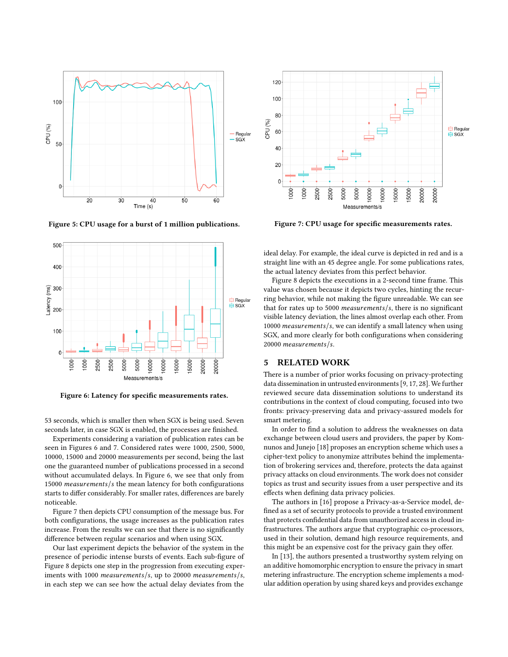<span id="page-7-1"></span>

Figure 5: CPU usage for a burst of 1 million publications.

<span id="page-7-2"></span>

Figure 6: Latency for specific measurements rates.

53 seconds, which is smaller then when SGX is being used. Seven seconds later, in case SGX is enabled, the processes are finished.

Experiments considering a variation of publication rates can be seen in Figures [6](#page-7-2) and [7.](#page-7-3) Considered rates were 1000, 2500, 5000, 10000, 15000 and 20000 measurements per second, being the last one the guaranteed number of publications processed in a second without accumulated delays. In Figure [6,](#page-7-2) we see that only from 15000 measurements/s the mean latency for both configurations starts to differ considerably. For smaller rates, differences are barely noticeable.

Figure [7](#page-7-3) then depicts CPU consumption of the message bus. For both configurations, the usage increases as the publication rates increase. From the results we can see that there is no significantly difference between regular scenarios and when using SGX.

Our last experiment depicts the behavior of the system in the presence of periodic intense bursts of events. Each sub-figure of Figure [8](#page-8-2) depicts one step in the progression from executing experiments with 1000 measurements/s, up to 20000 measurements/s, in each step we can see how the actual delay deviates from the

<span id="page-7-3"></span>

Figure 7: CPU usage for specific measurements rates.

ideal delay. For example, the ideal curve is depicted in red and is a straight line with an 45 degree angle. For some publications rates, the actual latency deviates from this perfect behavior.

Figure [8](#page-8-2) depicts the executions in a 2-second time frame. This value was chosen because it depicts two cycles, hinting the recurring behavior, while not making the figure unreadable. We can see that for rates up to 5000 *measurements*/ $s$ , there is no significant visible latency deviation, the lines almost overlap each other. From 10000 measurements/s, we can identify a small latency when using SGX, and more clearly for both configurations when considering 20000 measurements/s.

# <span id="page-7-0"></span>5 RELATED WORK

There is a number of prior works focusing on privacy-protecting data dissemination in untrusted environments [\[9,](#page-9-20) [17,](#page-9-21) [28\]](#page-9-22). We further reviewed secure data dissemination solutions to understand its contributions in the context of cloud computing, focused into two fronts: privacy-preserving data and privacy-assured models for smart metering.

In order to find a solution to address the weaknesses on data exchange between cloud users and providers, the paper by Komnunos and Junejo [\[18\]](#page-9-23) proposes an encryption scheme which uses a cipher-text policy to anonymize attributes behind the implementation of brokering services and, therefore, protects the data against privacy attacks on cloud environments. The work does not consider topics as trust and security issues from a user perspective and its effects when defining data privacy policies.

The authors in [\[16\]](#page-9-24) propose a Privacy-as-a-Service model, defined as a set of security protocols to provide a trusted environment that protects confidential data from unauthorized access in cloud infrastructures. The authors argue that cryptographic co-processors, used in their solution, demand high resource requirements, and this might be an expensive cost for the privacy gain they offer.

In [\[13\]](#page-9-25), the authors presented a trustworthy system relying on an additive homomorphic encryption to ensure the privacy in smart metering infrastructure. The encryption scheme implements a modular addition operation by using shared keys and provides exchange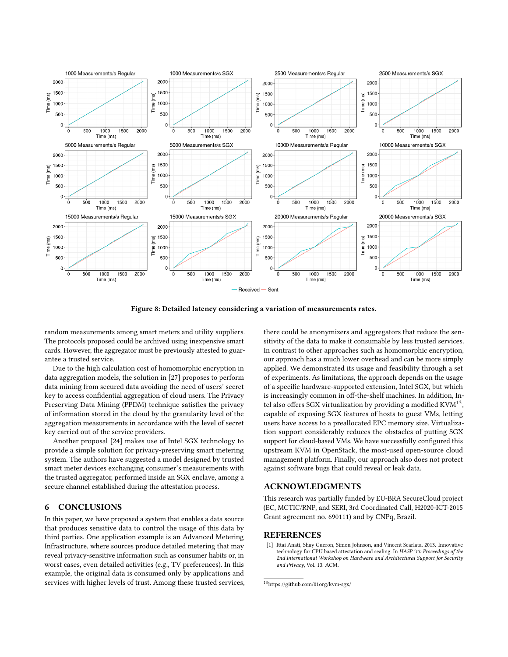<span id="page-8-2"></span>

Figure 8: Detailed latency considering a variation of measurements rates.

random measurements among smart meters and utility suppliers. The protocols proposed could be archived using inexpensive smart cards. However, the aggregator must be previously attested to guarantee a trusted service.

Due to the high calculation cost of homomorphic encryption in data aggregation models, the solution in [\[27\]](#page-9-26) proposes to perform data mining from secured data avoiding the need of users' secret key to access confidential aggregation of cloud users. The Privacy Preserving Data Mining (PPDM) technique satisfies the privacy of information stored in the cloud by the granularity level of the aggregation measurements in accordance with the level of secret key carried out of the service providers.

Another proposal [\[24\]](#page-9-27) makes use of Intel SGX technology to provide a simple solution for privacy-preserving smart metering system. The authors have suggested a model designed by trusted smart meter devices exchanging consumer's measurements with the trusted aggregator, performed inside an SGX enclave, among a secure channel established during the attestation process.

# <span id="page-8-0"></span>6 CONCLUSIONS

In this paper, we have proposed a system that enables a data source that produces sensitive data to control the usage of this data by third parties. One application example is an Advanced Metering Infrastructure, where sources produce detailed metering that may reveal privacy-sensitive information such as consumer habits or, in worst cases, even detailed activities (e.g., TV preferences). In this example, the original data is consumed only by applications and services with higher levels of trust. Among these trusted services,

there could be anonymizers and aggregators that reduce the sensitivity of the data to make it consumable by less trusted services. In contrast to other approaches such as homomorphic encryption, our approach has a much lower overhead and can be more simply applied. We demonstrated its usage and feasibility through a set of experiments. As limitations, the approach depends on the usage of a specific hardware-supported extension, Intel SGX, but which is increasingly common in off-the-shelf machines. In addition, Intel also offers SGX virtualization by providing a modified  $\text{KVM}^{13}$  $\text{KVM}^{13}$  $\text{KVM}^{13}$ , capable of exposing SGX features of hosts to guest VMs, letting users have access to a preallocated EPC memory size. Virtualization support considerably reduces the obstacles of putting SGX support for cloud-based VMs. We have successfully configured this upstream KVM in OpenStack, the most-used open-source cloud management platform. Finally, our approach also does not protect against software bugs that could reveal or leak data.

# ACKNOWLEDGMENTS

This research was partially funded by EU-BRA SecureCloud project (EC, MCTIC/RNP, and SERI, 3rd Coordinated Call, H2020-ICT-2015 Grant agreement no. 690111) and by CNPq, Brazil.

### **REFERENCES**

<span id="page-8-1"></span>[1] Ittai Anati, Shay Gueron, Simon Johnson, and Vincent Scarlata. 2013. Innovative technology for CPU based attestation and sealing. In HASP '13: Proceedings of the 2nd International Workshop on Hardware and Architectural Support for Security and Privacy, Vol. 13. ACM.

<span id="page-8-3"></span><sup>13</sup>https://github.com/01org/kvm-sgx/